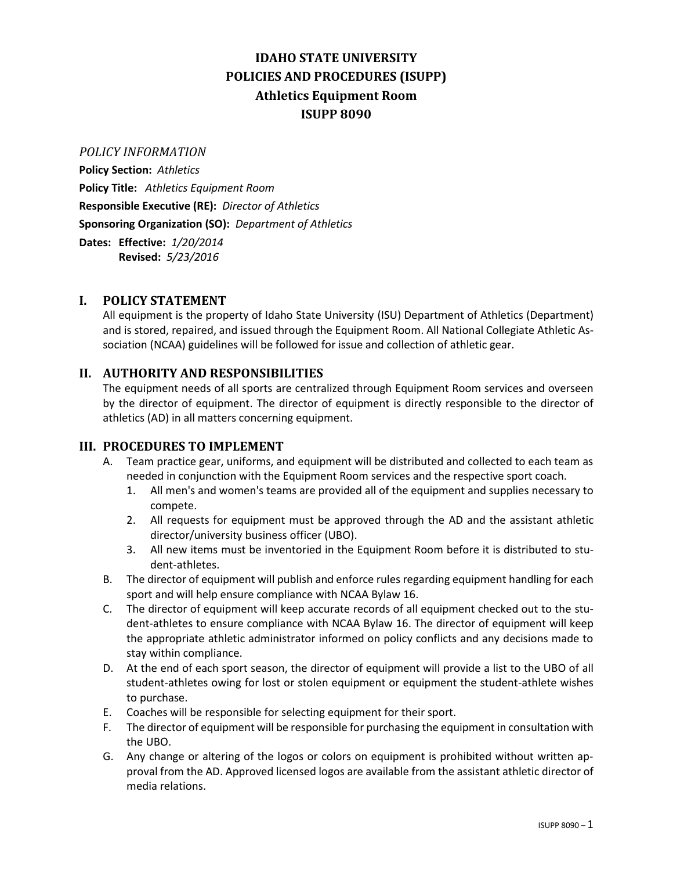# **IDAHO STATE UNIVERSITY POLICIES AND PROCEDURES (ISUPP) Athletics Equipment Room ISUPP 8090**

#### *POLICY INFORMATION*

**Policy Section:** *Athletics* **Policy Title:** *Athletics Equipment Room* **Responsible Executive (RE):** *Director of Athletics* **Sponsoring Organization (SO):** *Department of Athletics* **Dates: Effective:** *1/20/2014* **Revised:** *5/23/2016*

### **I. POLICY STATEMENT**

All equipment is the property of Idaho State University (ISU) Department of Athletics (Department) and is stored, repaired, and issued through the Equipment Room. All National Collegiate Athletic Association (NCAA) guidelines will be followed for issue and collection of athletic gear.

## **II. AUTHORITY AND RESPONSIBILITIES**

The equipment needs of all sports are centralized through Equipment Room services and overseen by the director of equipment. The director of equipment is directly responsible to the director of athletics (AD) in all matters concerning equipment.

#### **III. PROCEDURES TO IMPLEMENT**

- A. Team practice gear, uniforms, and equipment will be distributed and collected to each team as needed in conjunction with the Equipment Room services and the respective sport coach.
	- 1. All men's and women's teams are provided all of the equipment and supplies necessary to compete.
	- 2. All requests for equipment must be approved through the AD and the assistant athletic director/university business officer (UBO).
	- 3. All new items must be inventoried in the Equipment Room before it is distributed to student-athletes.
- B. The director of equipment will publish and enforce rules regarding equipment handling for each sport and will help ensure compliance with NCAA Bylaw 16.
- C. The director of equipment will keep accurate records of all equipment checked out to the student-athletes to ensure compliance with NCAA Bylaw 16. The director of equipment will keep the appropriate athletic administrator informed on policy conflicts and any decisions made to stay within compliance.
- D. At the end of each sport season, the director of equipment will provide a list to the UBO of all student-athletes owing for lost or stolen equipment or equipment the student-athlete wishes to purchase.
- E. Coaches will be responsible for selecting equipment for their sport.
- F. The director of equipment will be responsible for purchasing the equipment in consultation with the UBO.
- G. Any change or altering of the logos or colors on equipment is prohibited without written approval from the AD. Approved licensed logos are available from the assistant athletic director of media relations.